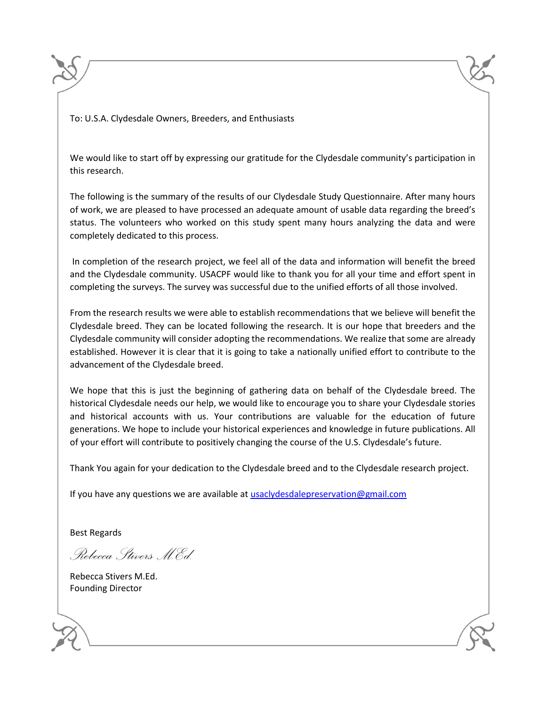To: U.S.A. Clydesdale Owners, Breeders, and Enthusiasts

We would like to start off by expressing our gratitude for the Clydesdale community's participation in this research.

The following is the summary of the results of our Clydesdale Study Questionnaire. After many hours of work, we are pleased to have processed an adequate amount of usable data regarding the breed's status. The volunteers who worked on this study spent many hours analyzing the data and were completely dedicated to this process.

In completion of the research project, we feel all of the data and information will benefit the breed and the Clydesdale community. USACPF would like to thank you for all your time and effort spent in completing the surveys. The survey was successful due to the unified efforts of all those involved.

From the research results we were able to establish recommendations that we believe will benefit the Clydesdale breed. They can be located following the research. It is our hope that breeders and the Clydesdale community will consider adopting the recommendations. We realize that some are already established. However it is clear that it is going to take a nationally unified effort to contribute to the advancement of the Clydesdale breed.

We hope that this is just the beginning of gathering data on behalf of the Clydesdale breed. The historical Clydesdale needs our help, we would like to encourage you to share your Clydesdale stories and historical accounts with us. Your contributions are valuable for the education of future generations. We hope to include your historical experiences and knowledge in future publications. All of your effort will contribute to positively changing the course of the U.S. Clydesdale's future.

Thank You again for your dedication to the Clydesdale breed and to the Clydesdale research project.

If you have any questions we are available at [usaclydesdalepreservation@gmail.com](mailto:usaclydesdalepreservation@gmail.com)

Best Regards

*Rebecca Stivers M.Ed.*

Rebecca Stivers M.Ed. Founding Director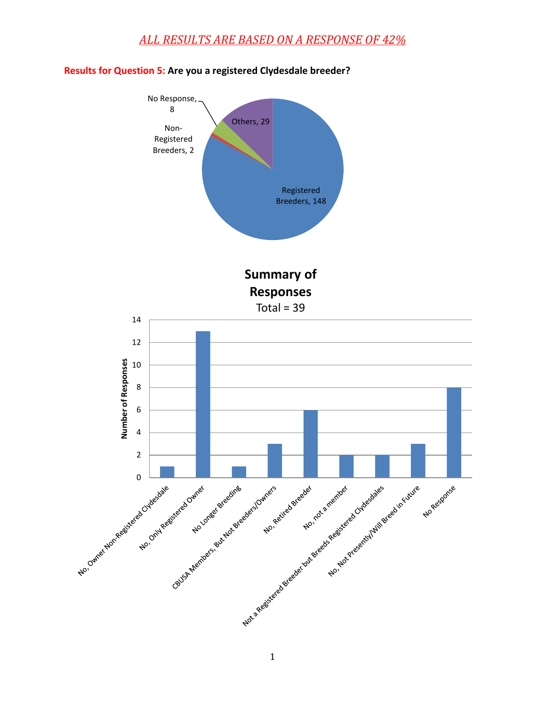

#### **Results for Question 5: Are you a registered Clydesdale breeder?**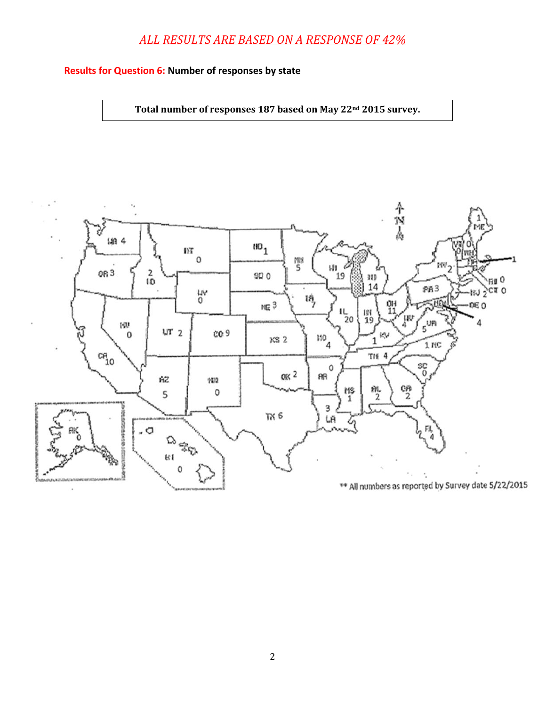#### **Results for Question 6: Number of responses by state**

**Total number of responses 187 based on May 22nd 2015 survey.**

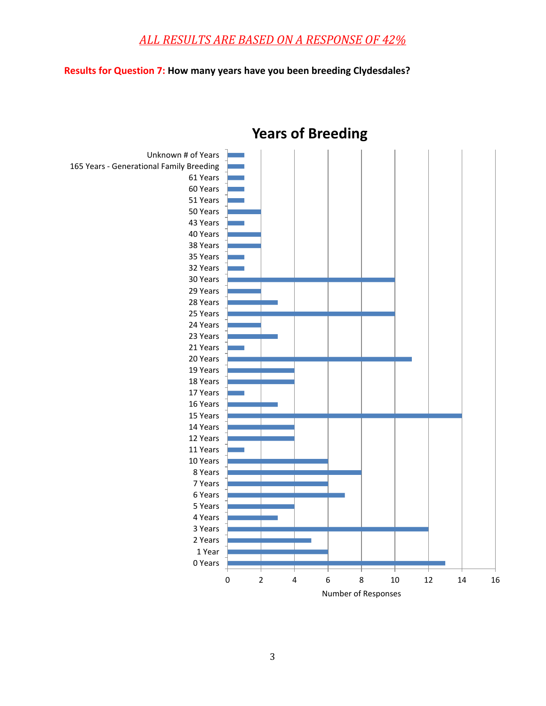#### **Results for Question 7: How many years have you been breeding Clydesdales?**



# **Years of Breeding**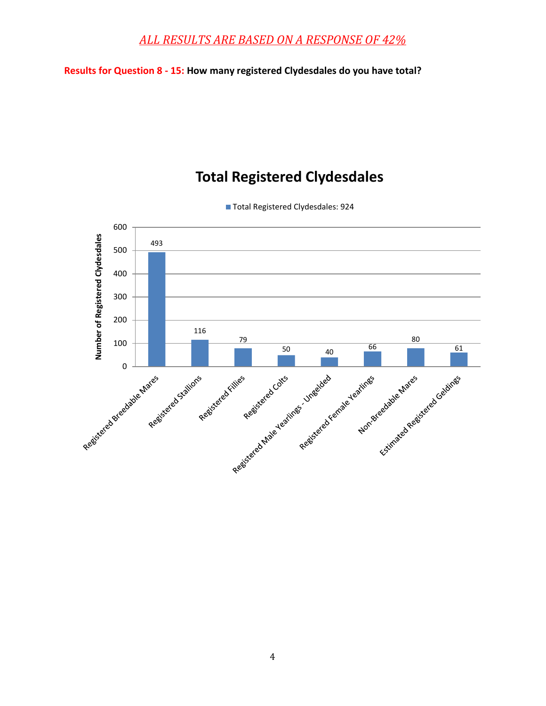**Results for Question 8 - 15: How many registered Clydesdales do you have total?**

## **Total Registered Clydesdales**



■ Total Registered Clydesdales: 924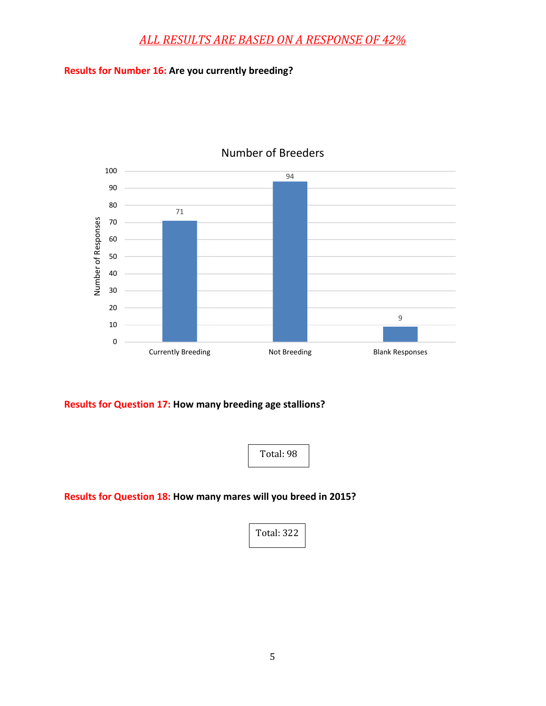#### **Results for Number 16: Are you currently breeding?**



#### Number of Breeders

**Results for Question 17: How many breeding age stallions?**



**Results for Question 18: How many mares will you breed in 2015?**

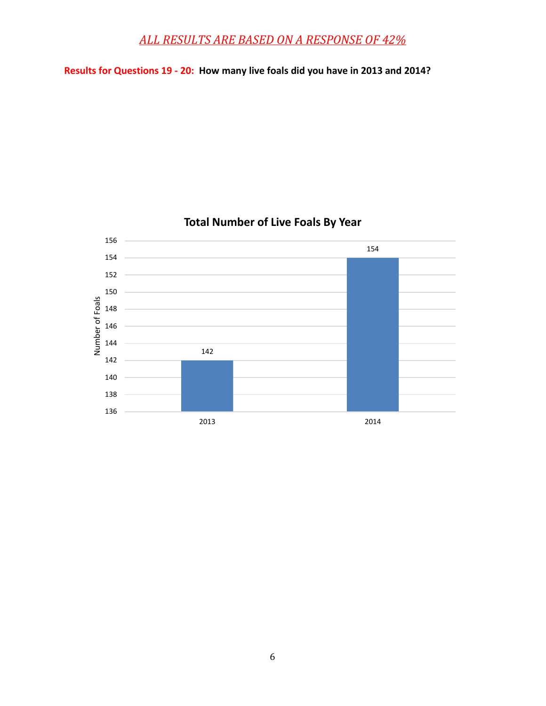**Results for Questions 19 - 20: How many live foals did you have in 2013 and 2014?**



## **Total Number of Live Foals By Year**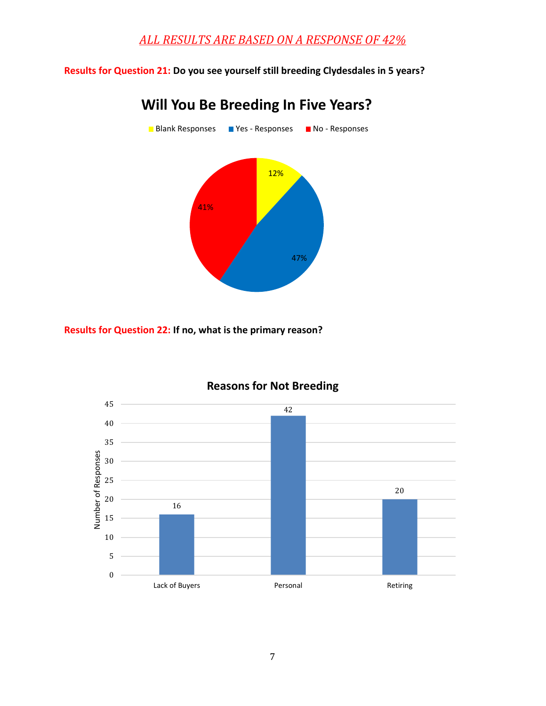**Results for Question 21: Do you see yourself still breeding Clydesdales in 5 years?**



# **Will You Be Breeding In Five Years?**

**Results for Question 22: If no, what is the primary reason?**



### **Reasons for Not Breeding**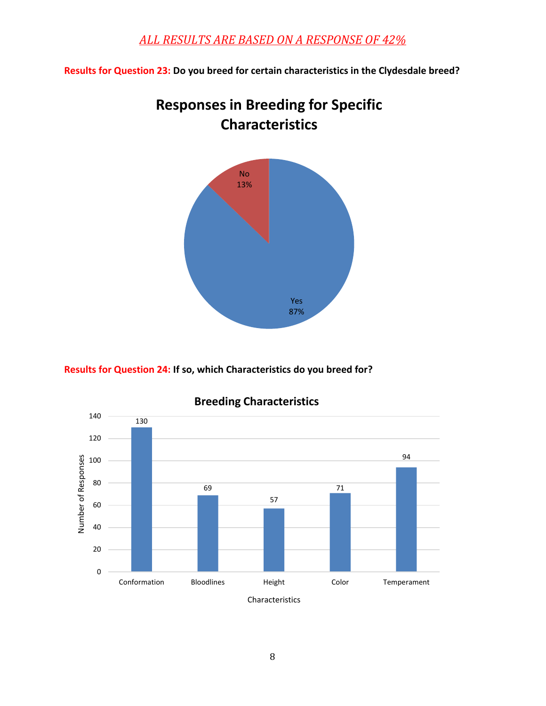**Results for Question 23: Do you breed for certain characteristics in the Clydesdale breed?**



# **Responses in Breeding for Specific Characteristics**

**Results for Question 24: If so, which Characteristics do you breed for?**



## **Breeding Characteristics**